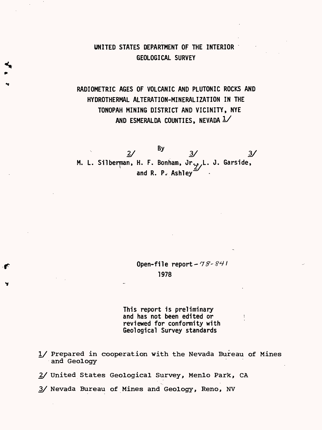# UNITED STATES DEPARTMENT OF THE INTERIOR GEOLOGICAL SURVEY

# RADIOMETRIC AGES OF VOLCANIC AND PLUTONIC ROCKS AND HYDROTHERMAL ALTERATION-MINERALIZATION IN THE TONOPAH MINING DISTRICT AND VICINITY, NYE AND ESMERALDA COUNTIES, NEVADA  $1/$

2/ <sup>by</sup> 3/ 3/ M. L. Silberman, H. F. Bonham, Jr., L. J. Garside, and R. P. Ashley

> Open-file report -  $78 - 841$ 1978

This report is preliminary and has not been edited or reviewed for conformity with Geological Survey standards

I/ Prepared in cooperation with the Nevada Bureau of Mines and Geology

2/ United States Geological Survey, Menlo Park, CA

3/ Nevada Bureau of Mines and Geology, Reno, NV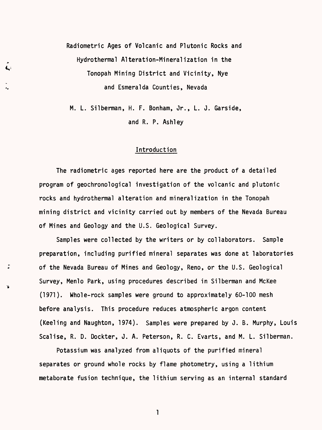Radiometric Ages of Volcanic and Plutonic Rocks and Hydrothermal Alteration-Mineralization in the Tonopah Mining District and Vicinity, Nye and Esmeralda Counties, Nevada

M. L. Silberman, H. F. Bonham, Jr., L. J. Garside, and R. P. Ashley

#### Introduction

The radiometric ages reported here are the product of a detailed program of geochronological investigation of the volcanic and plutonic rocks and hydrothermal alteration and mineralization in the Tonopah mining district and vicinity carried out by members of the Nevada Bureau of Mines and Geology and the U.S. Geological Survey.

Samples were collected by the writers or by collaborators. Sample preparation, including purified mineral separates was done at laboratories of the Nevada Bureau of Mines and Geology, Reno, or the U.S. Geological Survey, Menlo Park, using procedures described in Silberman and McKee (1971). Whole-rock samples were ground to approximately 60-100 mesh before analysis. This procedure reduces atmospheric argon content (Keeling and Naughton, 1974). Samples were prepared by J. B. Murphy, Louis Scalise, R. D. Dockter, J. A. Peterson, R. C. Evarts, and M. L. Silberman.

Potassium was analyzed from aliquots of the purified mineral separates or ground whole rocks by flame photometry, using a lithium metaborate fusion technique, the lithium serving as an internal standard

 $\mathbf{1}$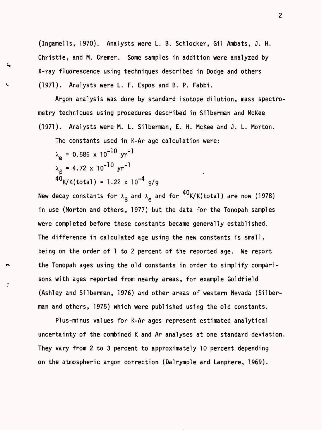(Ingamells, 1970). Analysts were L. B. Schlocker, Gil Ambats, J. H. Christie, and M. Cremer. Some samples in addition were analyzed by X-ray fluorescence using techniques described in Dodge and others (1971). Analysts were L. F. Espos and B. P. Fabbi.

Argon analysis was done by standard isotope dilution, mass spectrometry techniques using procedures described in Silberman and McKee (1971). Analysts were M. L. Silberman, E. H. McKee and J. L. Morton.

The constants used in K-Ar age calculation were:

 $\lambda_{\alpha} = 0.585 \times 10^{-10} \text{ yr}^{-1}$  $\lambda_{\circ}$  = 4.72 x 10<sup>-10</sup> yr<sup>-1</sup> P  $^{40}$ K/K(total) = 1.22 x 10<sup>-4</sup> g/g

New decay constants for  $\lambda^-_\beta$  and  $\lambda^-_\mathbf{e}$  and for ''K/K(total) are now (1978) in use (Morton and others, 1977) but the data for the Tonopah samples were completed before these constants became generally established. The difference in calculated age using the new constants is small, being on the order of 1 to 2 percent of the reported age. We report the Tonopah ages using the old constants in order to simplify comparisons with ages reported from nearby areas, for example Goldfield (Ashley and Silberman, 1976) and other areas of western Nevada (Silberman and others, 1975) which were published using the old constants.

Plus-minus values for K-Ar ages represent estimated analytical uncertainty of the combined K and Ar analyses at one standard deviation, They vary from 2 to 3 percent to approximately 10 percent depending on the atmospheric argon correction (Dalrymple and Lanphere, 1969).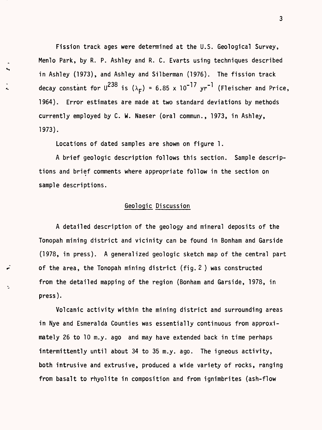Fission track ages were determined at the U.S. Geological Survey, Menlo Park, by R. P. Ashley and R. C. Evarts using techniques described in Ashley (1973), and Ashley and Silberman (1976). The fission track  $p^{238}$  **b f p** *p p p p p p p p p p p p p p p p p p p p p p p p p p p p p p p p p* decay constant for U<sup>---</sup> is ( $\lambda_{\texttt{F}}$ ) = 6.85 x 10 '' yr ' (Fleischer and Price, 1964). Error estimates are made at two standard deviations by methods currently employed by C. W. Naeser (oral commun., 1973, in Ashley, 1973).

Locations of dated samples are shown on figure 1.

A brief geologic description follows this section. Sample descriptions and brief comments where appropriate follow in the section on sample descriptions.

## Geologic Discussion

A detailed description of the geology and mineral deposits of the Tonopah mining district and vicinity can be found in Bonham and Garside (1978, in press). A generalized geologic sketch map of the central part of the area, the Tonopah mining district (fig. 2 ) was constructed from the detailed mapping of the region (Bonham and Garside, 1978, in press).

Volcanic activity within the mining district and surrounding areas in Nye and Esmeralda Counties was essentially continuous from approximately 26 to 10 m.y. ago and may have extended back in time perhaps intermittently until about 34 to 35 m.y. ago. The igneous activity, both intrusive and extrusive, produced a wide variety of rocks, ranging from basalt to rhyolite in composition and from ignimbrites (ash-flow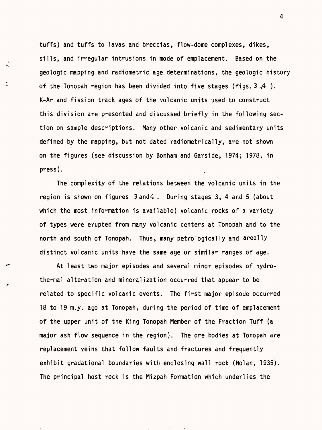tuffs) and tuffs to lavas and breccias, flow-dome complexes, dikes, sills, and irregular intrusions in mode of emplacement. Based on the geologic mapping and radiometric age determinations, the geologic history of the Tonopah region has been divided into five stages (figs.  $3, 4$ ). K-Ar and fission track ages of the volcanic units used to construct this division are presented and discussed briefly in the following section on sample descriptions. Many other volcanic and sedimentary units defined by the mapping, but not dated radiometrically, are not shown on the figures (see discussion by Bonham and Garside, 1974; 1978, in press).

 $\downarrow$ 

The complexity of the relations between the volcanic units in the region is shown on figures 3and4 . During stages 3, 4 and 5 (about which the most information is available) volcanic rocks of a variety of types were erupted from many volcanic centers at Tonopah and to the north and south of Tonopah. Thus, many petrologically and areally distinct volcanic units have the same age or similar ranges of age.

At least two major episodes and several minor episodes of hydrothermal alteration and mineralization occurred that appear to be <sup>r</sup> related to specific volcanic events. The first major episode occurred 18 to 19 m.y. ago at Tonopah, during the period of time of emplacement of the upper unit of the King Tonopah Member of the Fraction Tuff (a major ash flow sequence in the region). The ore bodies at Tonopah are replacement veins that follow faults and fractures and frequently exhibit gradational boundaries with enclosing wall rock (Nolan, 1935). The principal host rock is the Mizpah Formation which underlies the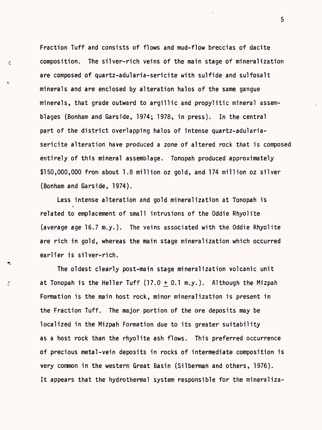Fraction Tuff and consists of flows and mud-flow breccias of dacite composition. The silver-rich veins of the main stage of mineralization are composed of quartz-adularia-sericite with sulfide and sulfosalt minerals and are enclosed by alteration halos of the same gangue minerals, that grade outward to argillic and propylitic mineral assemblages (Bonham and Garside, 1974; 1978, in press). In the central part of the district overlapping halos of intense quartz-adulariasericite alteration have produced a zone of altered rock that is composed entirely of this mineral assemblage. Tonopah produced approximately \$150,000,000 from about 1.8 million oz gold, and 174 million oz silver (Bonham and Garside, 1974).

 $\ddot{\sim}$ 

Less intense alteration and gold mineralization at Tonopah is related to emplacement of small intrusions of the Oddie Rhyolite (average age 16.7 m.y.). The veins associated with the Oddie Rhyolite are rich in gold, whereas the main stage mineralization which occurred earlier is silver-rich.

The oldest clearly post-main stage mineralization volcanic unit at Tonopah is the Heller Tuff  $(17.0 + 0.1$  m.y.). Although the Mizpah Formation is the main host rock, minor mineralization is present in the Fraction Tuff. The major portion of the ore deposits may be localized in the Mizpah Formation due to its greater suitability as a host rock than the rhyolite ash flows. This preferred occurrence of precious metal-vein deposits in rocks of intermediate composition is very common in the western Great Basin (Silberman and others, 1976). It appears that the hydrothermal system responsible for the mineraliza-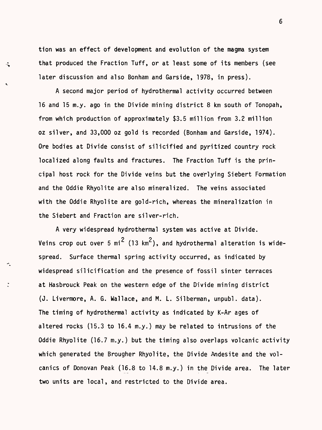tion was an effect of development and evolution of the magma system that produced the Fraction Tuff, or at least some of its members (see later discussion and also Bonham and Garside, 1978, in press).

 $\hat{\mathbf{v}}$ 

A second major period of hydrothermal activity occurred between 16 and 15 m.y. ago in the Divide mining district 8 km south of Tonopah, from which production of approximately \$3.5 million from 3.2 million oz silver, and 33,000 oz gold is recorded (Bonham and Garside, 1974). Ore bodies at Divide consist of silicified and pyritized country rock localized along faults and fractures. The Fraction Tuff is the principal host rock for the Divide veins but the overlying Siebert Formation and the Oddie Rhyolite are also mineralized. The veins associated with the Oddie Rhyolite are gold-rich, whereas the mineralization in the Siebert and Fraction are silver-rich.

A very widespread hydrothermal system was active at Divide. Veins crop out over 5 mi<sup>2</sup> (13 km<sup>2</sup>), and hydrothermal alteration is widespread. Surface thermal spring activity occurred, as indicated by widespread silicification and the presence of fossil sinter terraces at Hasbrouck Peak on the western edge of the Divide mining district (J. Livermore, A. G. Wallace, and M. L. Silberman, unpubl. data). The timing of hydrothermal activity as indicated by K-Ar ages of altered rocks (15.3 to 16.4 m.y.) may be related to intrusions of the Oddie Rhyolite (16.7 m.y.) but the timing also overlaps volcanic activity which generated the Brougher Rhyolite, the Divide Andesite and the volcanics of Donovan Peak (16.8 to 14.8 m.y.) in the Divide area. The later two units are local, and restricted to the Divide area.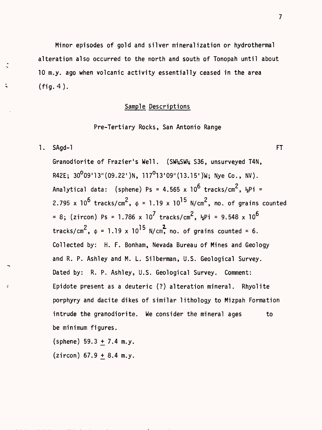Minor episodes of gold and silver mineralization or hydrothermal alteration also occurred to the north and south of Tonopah until about 10 m.y. ago when volcanic activity essentially ceased in the area (fig. 4).

#### Sample Descriptions

Pre-Tertiary Rocks, San Antonio Range

1. SAgd-1 FT

 $\ddot{\phantom{a}}$ 

Granodiorite of Frazier's Well. (SW%SW% S36, unsurveyed T4N, R42E;  $30^009'13''(09.22')N$ ,  $117^013'09''(13.15')W$ ; Nye Co., NV). Analytical data: (sphene) Ps = 4.565 x  $10^6$  tracks/cm<sup>2</sup>,  $\frac{1}{2}$ Pi = 2.795 x 10<sup>6</sup> tracks/cm<sup>2</sup>,  $\phi$  = 1.19 x 10<sup>15</sup> N/cm<sup>2</sup>, no. of grains counted = 8; (zircon) Ps = 1.786 x 10<sup>7</sup> tracks/cm<sup>2</sup>,  $\frac{1}{2}$ Pi = 9.548 x 10<sup>6</sup> tracks/cm<sup>2</sup>,  $\phi = 1.19 \times 10^{15}$  N/cm, no. of grains counted = 6. Collected by: H. F. Bonham, Nevada Bureau of Mines and Geology and R. P. Ashley and M. L. Silberman, U.S. Geological Survey. Dated by: R. P. Ashley, U.S. Geological Survey. Comment: Epidote present as a deuteric (?) alteration mineral. Rhyolite porphyry and dacite dikes of similar lithology to Mizpah Formation intrude the granodiorite. We consider the mineral ages to be minimum figures,

(sphene)  $59.3 + 7.4$  m.y.

 $(zircon)$  67.9 + 8.4 m.y.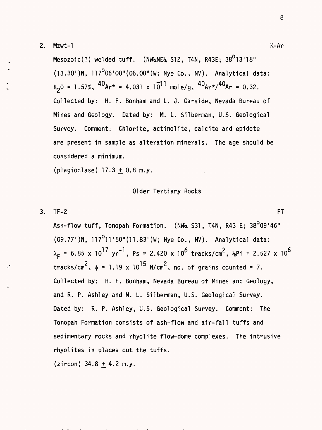#### 2. Mzwt-1 K-Ar

Mesozoic(?) welded tuff. (NW\*NE\* S12, T4N, R43E; 38<sup>0</sup>13'18"  $(13.30')$ N,  $117^0$ 06'00"(06.00")W; Nye Co., NV). Analytical data:  $K_2 0 = 1.57\%, \frac{40}{Ar} = 4.031 \times 10^{-11}$  mole/g,  $\frac{40}{Ar} \times \frac{40}{Ar} = 0.32$ . Collected by: H. F. Bonham and L. J. Garside, Nevada Bureau of Mines and Geology. Dated by: M. L. Silberman, U.S. Geological Survey. Comment: Chlorite, actinolite, calcite and epidote are present in sample as alteration minerals. The age should be considered a minimum.

(plagioclase)  $17.3 + 0.8$  m.y.

#### Older Tertiary Rocks

#### $3.$  TF-2 FT

Ash-flow tuff, Tonopah Formation. (NW $_{\rm z}$  S31, T4N, R43 E; 38 $^{0}$ 09'46" (09.77')N, 117<sup>0</sup>11'50"(11.83')W; Nye Co., NV). Analytical data:  $\lambda_{\text{r}}$  = 6.85 x 10<sup>17</sup> yr<sup>-1</sup>, Ps = 2.420 x 10<sup>6</sup> tracks/cm<sup>2</sup>,  $\frac{1}{2}$ Pi = 2.527 x 10<sup>6</sup> tracks/cm<sup>2</sup>,  $\phi$  = 1.19 x 10<sup>15</sup> N/cm<sup>2</sup>, no. of grains counted = 7. Collected by: H. F. Bonham, Nevada Bureau of Mines and Geology, and R. P. Ashley and M. L. Silberman, U.S. Geological Survey. Dated by: R. P. Ashley, U.S. Geological Survey. Comment: The Tonopah Formation consists of ash-flow and air- fall tuffs and sedimentary rocks and rhyolite flow-dome complexes. The intrusive rhyolites in places cut the tuffs.

(zircon)  $34.8 \pm 4.2$  m.y.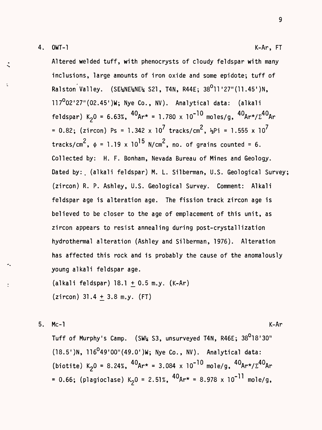$\overline{\mathcal{C}}$ 

Altered welded tuff, with phenocrysts of cloudy feldspar with many inclusions, large amounts of iron oxide and some epidote; tuff of Ralston Valley. (SE\NE\NE\ S21, T4N, R44E; 38<sup>0</sup>11'27"(11.45')N,  $117<sup>0</sup>02'27''(02.45')W$ ; Nye Co., NV). Analytical data: (alkali feldspar) K<sub>2</sub>0 = 6.63%,  $^{40}$ Ar\* = 1.780 x 10<sup>-10</sup> moles/g,  $^{40}$ Ar\*/ $\Sigma^{40}$ Ar = 0.82; (zircon) Ps = 1.342 x 10<sup>7</sup> tracks/cm<sup>2</sup>,  $\frac{1}{2}$ Pi = 1.555 x 10<sup>7</sup> tracks/cm<sup>2</sup>,  $\phi = 1.19 \times 10^{15}$  N/cm<sup>2</sup>, no. of grains counted = 6. Collected by: H. F. Bonham, Nevada Bureau of Mines and Geology. Dated by: (alkali feldspar) M. L. Silberman, U.S. Geological Survey; (zircon) R. P. Ashley, U.S. Geological Survey. Comment: Alkali feldspar age is alteration age. The fission track zircon age is believed to be closer to the age of emplacement of this unit, as zircon appears to resist annealing during post-crystallization hydrothermal alteration (Ashley and Silberman, 1976). Alteration has affected this rock and is probably the cause of the anomalously young alkali feldspar age.

(alkali feldspar) 18.1 +0.5 m.y. (K-Ar)  $(zircon)$  31.4 + 3.8 m.y. (FT)

5. Mc-1  
\nTuff of Murphy's Camp. (SW4 S3, unsurveyed T4N, R46E; 38<sup>0</sup>18'30"  
\n(18.5')N, 116<sup>0</sup>49'00''(49.0')W; Nye Co., NV). Analytical data:  
\n(biotic) K<sub>2</sub>0 = 8.24%, <sup>40</sup>Ar\* = 3.084 x 10<sup>-10</sup> mole/g, <sup>40</sup>Ar\*/
$$
\Sigma
$$
<sup>40</sup>Ar  
\n= 0.66; (plagiclase) K<sub>2</sub>0 = 2.51%, <sup>40</sup>Ar\* = 8.978 x 10<sup>-11</sup> mole/g,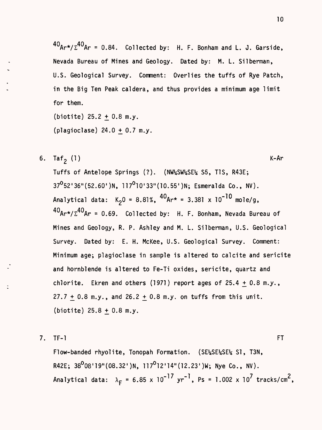$^{40}$ Ar\*/ $\Sigma^{40}$ Ar = 0.84. Collected by: H. F. Bonham and L. J. Garside, Nevada Bureau of Mines and Geology. Dated by: M. L. Silberman, U.S. Geological Survey. Comment: Overlies the tuffs of Rye Patch, in the Big Ten Peak caldera, and thus provides a minimum age limit for them.

(biotite) 25.2 + 0.8 m.y. (plagioclase)  $24.0 + 0.7$  m.y.

6.  $\text{Taf}_2$  (1) K-Ar

Tuffs of Antelope Springs (?). (NW%SW%SE% S5, T1S, R43E;  $37^{\circ}$ 52'36"(52.60')N, 117<sup>0</sup>10'33"(10.55')N; Esmeralda Co., NV). Analytical data:  $K_2 0 = 8.81\%$ ,  ${}^{40}Ar* = 3.381 \times 10^{-10}$  mole/g,  $^{40}$ Ar\*/ $\Sigma^{40}$ Ar = 0.69. Collected by: H. F. Bonham, Nevada Bureau of Mines and Geology, R. P. Ashley and M. L. Silberman, U.S. Geological Survey. Dated by: E. H. McKee, U.S. Geological Survey. Comment: Minimum age; plagioclase in sample is altered to calcite and sericite and hornblende is altered to Fe-Ti oxides, sericite, quartz and chlorite. Ekren and others (1971) report ages of  $25.4 + 0.8$  m.y.,  $27.7 + 0.8$  m.y., and  $26.2 + 0.8$  m.y. on tuffs from this unit.  $(biottle) 25.8 + 0.8 m.y.$ 

7. TF-1 FT

Flow-banded rhyolite, Tonopah Formation. (SE%SE%SE% SI, T3N, R42E;  $38^0$ 08'19"(08.32')N, 117<sup>0</sup>12'14"(12.23')W; Nye Co., NV). Analytical data:  $\lambda_F = 6.85 \times 10^{-17} \text{ yr}^{-1}$ , Ps = 1.002 x 10<sup>7</sup> tracks/cm<sup>2</sup>,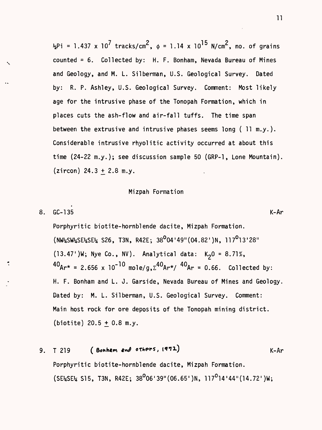$\frac{1}{2}$ Pi = 1.437 x 10<sup>7</sup> tracks/cm<sup>2</sup>,  $\phi$  = 1.14 x 10<sup>15</sup> N/cm<sup>2</sup>, no. of grains counted = 6. Collected by: H. F. Bonham, Nevada Bureau of Mines and Geology, and M. L. Silberman, U.S. Geological Survey. Dated by: R. P. Ashley, U.S. Geological Survey. Comment: Most likely age for the intrusive phase of the Tonopah Formation, which in places cuts the ash-flow and air- fall tuffs. The time span between the extrusive and intrusive phases seems long ( 11 m.y.). Considerable intrusive rhyolitic activity occurred at about this time (24-22 m.y.); see discussion sample 50 (GRP-1 , Lone Mountain).  $(zircon)$  24.3 + 2.8 m.y.

#### Mizpah Formation

$$
8. G - 135 K - Ar
$$

Porphyritic biotite-hornblende dacite, Mizpah Formation.  $(NW_{2}SW_{2}SE_{2}SE_{2}$  S26, T3N, R42E;  $38^{0}04'49''(04.82')N$ ,  $117^{0}13'28''$ (13.47')W; Nye Co., NV). Analytical data:  $K_20 = 8.71\%$ ,  $^{40}$ Ar\* = 2.656 x 10<sup>-10</sup> mole/g,  $\Sigma^{40}$ Ar\*/  $^{40}$ Ar = 0.66. Collected by: H. F. Bonham and L. J. Garside, Nevada Bureau of Mines and Geology. Dated by: M. L. Silberman, U.S. Geological Survey. Comment: Main host rock for ore deposits of the Tonopah mining district. (biotite) 20.5 + 0.8 m.y.

(Bonham and others, 1972) 9. T 219  $K-Ar$ Porphyritic biotite-hornblende dacite, Mizpah Formation.  $(SE2SE2 S15, T3N, R42E; 38^{0}06'39''(06.65' )N, 117^{0}14'44''(14.72' )W;$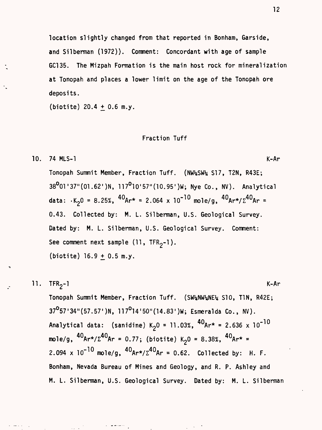location slightly changed from that reported in Bonham, Garside, and Silberman (1972)). Comment: Concordant with age of sample GC135. The Mizpah Formation is the main host rock for mineralization at Tonopah and places a lower limit on the age of the Tonopah ore deposits.

(biotite)  $20.4 \pm 0.6$  m.y.

#### Fraction Tuff

10. 74 MLS-1 K-Ar

Tonopah Summit Member, Fraction Tuff. (NW^SW% SI7, T2N, R43E; 38<sup>0</sup>01'37"(01.62')N, 117<sup>0</sup>10'57"(10.95')W; Nye Co., NV). Analytical data:  $K_2$ 0 = 8.25%,  ${}^{40}$ Ar\* = 2.064 x 10<sup>-10</sup> mole/g,  ${}^{40}$ Ar\*/ $\Sigma$ <sup>40</sup>Ar = 0.43. Collected by: M. L. Silberman, U.S. Geological Survey. Dated by: M. L. Silberman, U.S. Geological Survey. Comment: See comment next sample  $(11, TFR<sub>2</sub>-1)$ . (biotite)  $16.9 \pm 0.5$  m.y.

11. 
$$
TFR_2-1
$$
   
\nKonopah Summit Member, Fraction Tuff. (SW<sub>ANW4NE4</sub> SD, TIN, R42E;  
\n37<sup>0</sup>57'34''(57.57')N, 117<sup>0</sup>14'50''(14.83')W; Esmeralda Co., NV).  
\nAnalytical data: (sanidine) K<sub>2</sub>O = 11.03%,  $^{40}$ Ar\* = 2.636 × 10<sup>-10</sup>  
\nmole/g,  $^{40}$ Ar\*/ $\Sigma$ <sup>40</sup>Ar = 0.77; (biotic) K<sub>2</sub>O = 8.38%,  $^{40}$ Ar\* =  
\n2.094 × 10<sup>-10</sup> mole/g,  $^{40}$ Ar\*/ $\Sigma$ <sup>40</sup>Ar = 0.62. Collected by: H. F.  
\nBonham, Nevada Bureau of Mines and Geology, and R. P. Ashley and  
\nM. L. Silberman, U.S. Geological Survey. Dated by: M. L. Silberman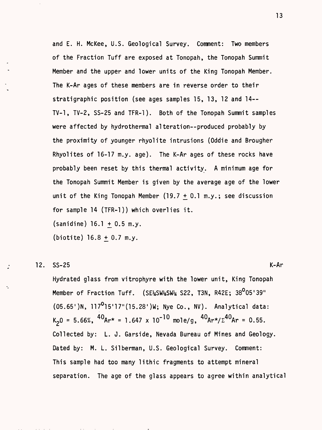and E. H. McKee, U.S. Geological Survey. Comment: Two members of the Fraction Tuff are exposed at Tonopah, the Tonopah Summit Member and the upper and lower units of the King Tonopah Member. The K-Ar ages of these members are in reverse order to their stratigraphic position (see ages samples 15, 13, 12 and 14-- TV-1, TV-2, SS-25 and TFR-1). Both of the Tonopah Summit samples were affected by hydrothermal alteration--produced probably by the proximity of younger rhyolite intrusions (Oddie and Brougher Rhyolites of 16-17 m.y. age). The K-Ar ages of these rocks have probably been reset by this thermal activity. A minimum age for the Tonopah Summit Member is given by the average age of the lower unit of the King Tonopah Member  $(19.7 + 0.1$  m.y.; see discussion for sample 14 (TFR-1)) which overlies it.

 $(sanidine) 16.1 + 0.5 m.y.$ 

(biotite) 16.8 + 0.7 m.y.

12. SS-25 K-Ar

Hydrated glass from vitrophyre with the lower unit, King Tonopah Member of Fraction Tuff. (SE\SW\\\\$\\\$\\\$22, T3N, R42E; 38°05'39"  $(05.65')$ N, 117<sup>0</sup>15'17"(15.28')W; Nye Co., NV). Analytical data:  $K_2 0 = 5.66\%, \frac{40}{4}$   $A + 1.647 \times 10^{-10}$  mole/g,  $\frac{40}{4}$  $A + \frac{1}{2}$  $A^0$  $A = 0.55$ . Collected by: L. J. Garside, Nevada Bureau of Mines and Geology. Dated by: M. L. Silberman, U.S. Geological Survey. Comment: This sample had too many lithic fragments to attempt mineral separation. The age of the glass appears to agree within analytical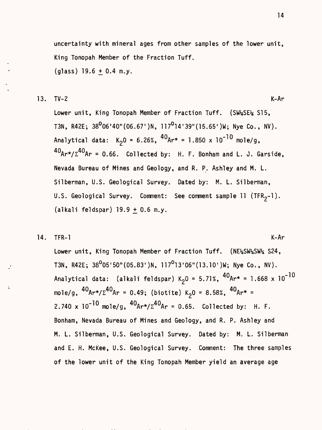uncertainty with mineral ages from other samples of the lower unit, King Tonopah Member of the Fraction Tuff, (glass)  $19.6 + 0.4$  m.y.

13. TV-2 K-Ar

Lower unit, King Tonopah Member of Fraction Tuff. (SW\SE\{1 S15, T3N, R42E;  $38^{0}06'40''(06.67')N$ ,  $117^{0}14'39''(15.65')W$ ; Nye Co., NV). Analytical data:  $K_20 = 6.26\%$ ,  ${}^{40}Ar* = 1.850 \times 10^{-10}$  mole/g, **Aft Aft** HUAr\*/£ Ar = 0.66. Collected by: H. F. Bonham and L. J. Garside, Nevada Bureau of Mines and Geology, and R. P. Ashley and M. L. Silberman, U.S. Geological Survey. Dated by: M. L. Silberman, U.S. Geological Survey. Comment: See comment sample 11 (TFR<sub>2</sub>-1).  $(alkali$  feldspar)  $19.9 + 0.6$  m.y.

14. TFR-1 K-Ar

Lower unit, King Tonopah Member of Fraction Tuff. (NE%SW%SW% S24, T3N, R42E; 38<sup>0</sup>05'50"(05.83')N, 117<sup>0</sup>13'06"(13.10')W; Nye Co., NV). Analytical data: (alkali feldspar) K<sub>2</sub>0 = 5.71%,  ${}^{40}$ Ar\* = 1.668 x 10<sup>-10</sup> mole/g,  ${}^{40}$ Ar\*/ $\Sigma^{40}$ Ar = 0.49; (biotite) K<sub>2</sub>0 = 8.58%,  ${}^{40}$ Ar\* = 2.740 x  $10^{-10}$  mole/g,  ${}^{40}$ Ar\*/ $\Sigma^{40}$ Ar = 0.65. Collected by: H. F. Bonham, Nevada Bureau of Mines and Geology, and R. P. Ashley and M. L. Silberman, U.S. Geological Survey. Dated by: M. L. Silberman and E. H. McKee, U.S. Geological Survey. Comment: The three samples of the lower unit of the King Tonopah Member yield an average age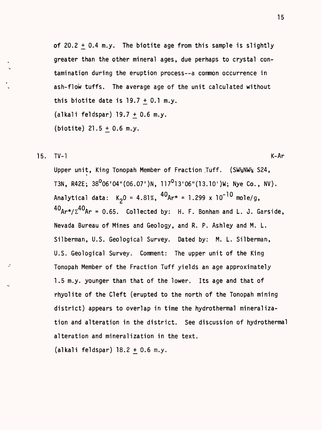of  $20.2 + 0.4$  m.y. The biotite age from this sample is slightly greater than the other mineral ages, due perhaps to crystal contamination during the eruption process--a common occurrence in ash-flow tuffs. The average age of the unit calculated without this biotite date is  $19.7 + 0.1$  m.y.  $(alkali$  feldspar) 19.7 + 0.6 m.y. (biotite)  $21.5 + 0.6$  m.y.

15. TV-1 K-Ar

Upper unit, King Tonopah Member of Fraction Tuff. (SW%NW% S24, T3N, R42E;  $38^0$ 06'04"(06.07')N, 117<sup>0</sup>13'06"(13.10')W; Nye Co., NV). Analytical data:  $K_2 0 = 4.81\%$ ,  ${}^{40}Ar* = 1.299 \times 10^{-10}$  mole/g,  $40_{h}$  +  $h = 40$  $\text{HATE} \cdot \text{A}$ r = 0.65. Collected by: H. F. Bonham and L. J. Garside, Nevada Bureau of Mines and Geology, and R. P. Ashley and M. L. Silberman, U.S. Geological Survey. Dated by: M. L. Silberman, U.S. Geological Survey. Comment: The upper unit of the King Tonopah Member of the Fraction Tuff yields an age approximately 1.5 m.y. younger than that of the lower. Its age and that of rhyolite of the Cleft (erupted to the north of the Tonopah mining district) appears to overlap in time the hydrothermal mineralization and alteration in the district. See discussion of hydrothermal alteration and mineralization in the text,

 $(alkali$  feldspar)  $18.2 + 0.6$  m.y.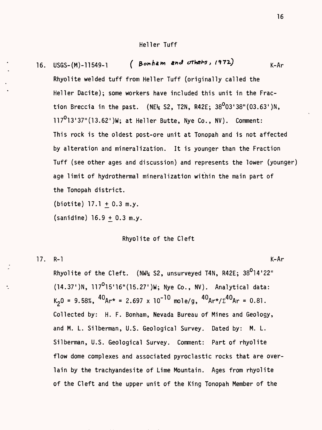16. USGS-(M)-11549-1 (Bonham and others,  $(972)$  K-Ar Rhyolite welded tuff from Heller Tuff (originally called the Heller Dacite); some workers have included this unit in the Fraction Breccia in the past. (NE $\frac{1}{2}$  S2, T2N, R42E; 38<sup>0</sup>03'38"(03.63')N,  $117^0$ 13'37"(13.62')W; at Heller Butte, Nye Co., NV). Comment: This rock is the oldest post-ore unit at Tonopah and is not affected by alteration and mineralization. It is younger than the Fraction Tuff (see other ages and discussion) and represents the lower (younger) age limit of hydrothermal mineralization within the main part of the Tonopah district,

 $(biottle) 17.1 + 0.3 m.y.$ 

 $(sanidine)$  16.9 + 0.3 m.y.

#### Rhyolite of the Cleft

17. R-l K-Ar Rhyolite of the Cleft. (NW<sup>1</sup>4 S2, unsurveyed T4N, R42E;  $38^0$ 14'22"  $(14.37')$ N, 117<sup>0</sup>15'16"(15.27')W; Nye Co., NV). Analytical data:  $K_2 0 = 9.58\%$ ,  ${}^{40}Ar^* = 2.697 \times 10^{-10}$  mole/g,  ${}^{40}Ar^* / \Sigma {}^{40}Ar = 0.81$ . Collected by: H. F. Bonham, Nevada Bureau of Mines and Geology, and M. L. Silberman, U.S. Geological Survey. Dated by: M. L. Silberman, U.S. Geological Survey. Comment: Part of rhyolite flow dome complexes and associated pyroclastic rocks that are overlain by the trachyandesite of Lime Mountain. Ages from rhyolite of the Cleft and the upper unit of the King Tonopah Member of the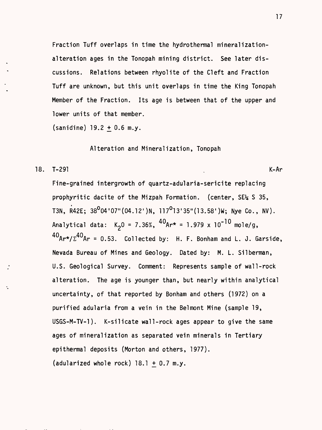Fraction Tuff overlaps in time the hydrothermal mineralizationalteration ages in the Tonopah mining district. See later discussions. Relations between rhyolite of the Cleft and Fraction Tuff are unknown, but this unit overlaps in time the King Tonopah Member of the Fraction. Its age is between that of the upper and lower units of that member,

(sanidine)  $19.2 \pm 0.6$  m.y.

Alteration and Mineralization, Tonopah

18. T–291 . Konstantin – Konstantin – Konstantin – Konstantin – Konstantin – Konstantin – Konstantin – Konstan

Fine-grained intergrowth of quartz-adularia-sericite replacing prophyritic dacite of the Mizpah Formation, (center, SE% S 35, T3N, R42E;  $38^004'07''(04.12')N$ ,  $117^013'35''(13.58')W$ ; Nye Co., NV). Analytical data:  $K_2 0 = 7.36\%, \frac{40}{4}$ Ar\* = 1.979 x 10<sup>-10</sup> mole/g,  $^{40}$ Ar\*/ $\Sigma^{40}$ Ar = 0.53. Collected by: H. F. Bonham and L. J. Garside, Nevada Bureau of Mines and Geology. Dated by: M. L. Silberman, U.S. Geological Survey. Comment: Represents sample of wall-rock alteration. The age is younger than, but nearly within analytical uncertainty, of that reported by Bonham and others (1972) on a purified adularia from a vein in the Belmont Mine (sample 19, USGS-M-TV-1). K-silicate wall-rock ages appear to give the same ages of mineralization as separated vein minerals in Tertiary epithermal deposits (Morton and others, 1977). (adularized whole rock) 18.1 + 0.7 m.y.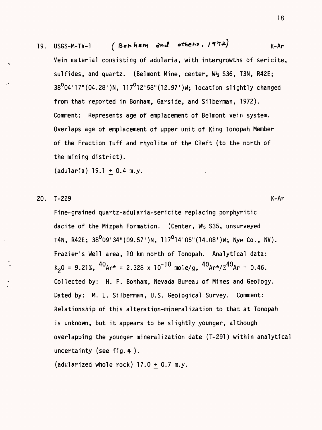# 19. USGS-M-TV-1 ( Bonham and others,  $19'$ 12)  $K-Ar$

Vein material consisting of adularia, with intergrowths of sericite, sulfides, and quartz. (Belmont Mine, center,  $W_2$  S36, T3N, R42E;  $38^{0}04'17''(04.28'')N$ ,  $117^{0}12'58''(12.97')W$ ; location slightly changed from that reported in Bonham, Garside, and Silberman, 1972). Comment: Represents age of emplacement of Belmont vein system. Overlaps age of emplacement of upper unit of King Tonopah Member of the Fraction Tuff and rhyolite of the Cleft (to the north of the mining district),

(adularia) 19.1 + 0.4 m.y.

20. T-229 K-Ar

Fine-grained quartz-adularia-sericite replacing porphyritic dacite of the Mizpah Formation. (Center,  $W_2$  S35, unsurveyed T4N, R42E;  $38^009'34''(09.57')N$ ,  $117^014'05''(14.08')W$ ; Nye Co., NV). Frazier's Well area, 10 km north of Tonopah. Analytical data:  $K_20 = 9.21\%$ ,  ${}^{40}Ar* = 2.328 \times 10^{-10}$  mole/g,  ${}^{40}Ar*/\Sigma^{40}Ar = 0.46$ . Collected by: H. F. Bonham, Nevada Bureau of Mines and Geology. Dated by: M. L. Silberman, U.S. Geological Survey. Comment: Relationship of this alteration-mineralization to that at Tonopah is unknown, but it appears to be slightly younger, although overlapping the younger mineralization date (T-291) within analytical uncertainty (see fig.  $\frac{4}{7}$ ).

(adularized whole rock)  $17.0 + 0.7$  m.y.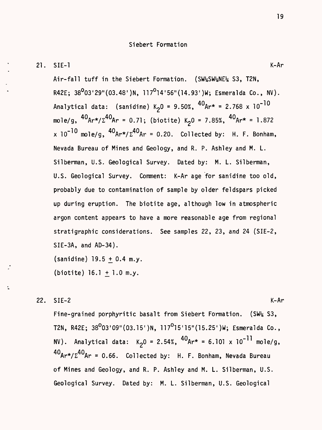21. SIE-1 K-Ar

Air-fall tuff in the Siebert Formation. (SW%SW%NE% S3, T2N, R42E;  $38^0$ 03'29"(03.48')N, 117<sup>0</sup>14'56"(14.93')W; Esmeralda Co., NV). Analytical data: (sanidine)  $K_20 = 9.50\%$ ,  ${}^{40}Ar* = 2.768 \times 10^{-10}$ mole/g,  ${}^{40}$ Ar\*/ $\Sigma^{40}$ Ar = 0.71; (biotite) K<sub>2</sub>0 = 7.85%,  ${}^{40}$ Ar\* = 1.872 x  $10^{-10}$  mole/g,  $^{40}$ Ar\*/ $\Sigma^{40}$ Ar = 0.20. Collected by: H. F. Bonham, Nevada Bureau of Mines and Geology, and R. P. Ashley and M. L. Silberman, U.S. Geological Survey. Dated by: M. L. Silberman, U.S. Geological Survey. Comment: K-Ar age for sanidine too old, probably due to contamination of sample by older feldspars picked up during eruption. The biotite age, although low in atmospheric argon content appears to have a more reasonable age from regional stratigraphic considerations. See samples 22, 23, and 24 (SIE-2, SIE-3A, and AD-34).

 $(sanidine)$  19.5 + 0.4 m.y. (biotite)  $16.1 + 1.0$  m.y.

22. SIE-2 K-Ar

Fine-grained porphyritic basalt from Siebert Formation.  $(SW_4 S3,$ T2N, R42E;  $38^{0}03'09''(03.15')N$ ,  $117^{0}15'15''(15.25')W$ ; Esmeralda Co., NV). Analytical data:  $K_20 = 2.54\%$ ,  ${}^{40}Ar* = 6.101 \times 10^{-11}$  mole/g,  $40$ Ar\*/ $\Sigma^{40}$ Ar = 0.66. Collected by: H. F. Bonham, Nevada Bureau of Mines and Geology, and R. P. Ashley and M. L. Silberman, U.S. Geological Survey. Dated by: M. L. Silberman, U.S. Geological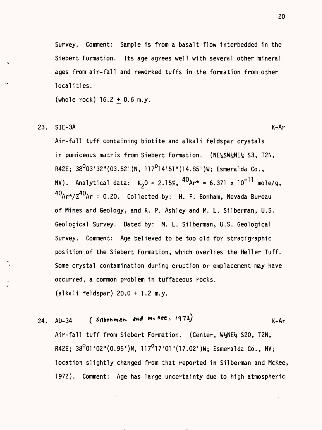Survey. Comment: Sample is from a basalt flow interbedded in the Siebert Formation. Its age agrees well with several other mineral ages from air- fall and reworked tuffs in the formation from other localities.

(whole rock)  $16.2 + 0.6$  m.y.

#### 23. SIE-3A K-Ar

Air-fall tuff containing biotite and alkali feldspar crystals in pumiceous matrix from Siebert Formation. (NE%SW<sup>1</sup>ME% S3, T2N, R42E;  $38^0$ 03'32"(03.52')N, 117<sup>0</sup>14'51"(14.85')W; Esmeralda Co., NV). Analytical data:  $K_20 = 2.15\%$ ,  ${}^{40}$ Ar\* = 6.371 x 10<sup>-11</sup> mole/g,  $40Ar\frac{\lambda}{2}40Ar = 0.20$ . Collected by: H. F. Bonham, Nevada Bureau of Mines and Geology, and R. P. Ashley and M. L. Silberman, U.S. Geological Survey. Dated by: M. L. Silberman, U.S. Geological Survey. Comment: Age believed to be too old for stratigraphic position of the Siebert Formation, which overlies the Heller Tuff. Some crystal contamination during eruption or emplacement may have occurred, a common problem in tuffaceous rocks. (alkali feldspar) 20.0 + 1.2 m.y.

24. AD-34 **(Silberman and me kee, 1972)** K-Ar Air-fall tuff from Siebert Formation. (Center, W^NE% S20, T2N, R42E;  $38^0$ 01'02"(0.95')N, 117<sup>0</sup>17'01"(17.02')W; Esmeralda Co., NV; location slightly changed from that reported in Silberman and McKee, 1972). Comment: Age has large uncertainty due to high atmospheric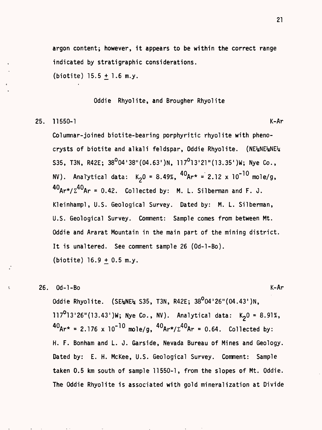argon content; however, it appears to be within the correct range indicated by stratigraphic considerations,

(biotite)  $15.5 \pm 1.6$  m.y.

Oddie Rhyolite, and Brougher Rhyolite

25. 11550-1 K-Ar

Columnar-joined biotite-bearing porphyritic rhyolite with phenocrysts of biotite and alkali feldspar, Oddie Rhyolite. (NE\NE\ANE\ S35, T3N, R42E;  $38^{0}04'38''(04.63')N$ ,  $117^{0}13'21''(13.35')W$ ; Nye Co., NV). Analytical data:  $K_20 = 8.49\%$ ,  ${}^{40}Ar^* = 2.12 \times 10^{-10}$  mole/g,  $40Ar\star/\Sigma^{40}$ Ar = 0.42. Collected by: M. L. Silberman and F. J. Kleinhampl, U.S. Geological Survey. Dated by: M. L. Silberman, U.S. Geological Survey. Comment: Sample comes from between Mt. Oddie and Ararat Mountain in the main part of the mining district. It is unaltered. See comment sample 26 (Od-l-Bo).  $(biottle) 16.9 + 0.5 m.y.$ 

26. Od-1-Bo  
\nOddie Rhyolite. (SE<sub>4</sub>NE<sub>4</sub> S35, T3N, R42E; 38<sup>0</sup>04'26''(04.43')N,  
\n117<sup>0</sup>13'26''(13.43')W; Nye Co., NV). Analytical data: 
$$
K_20 = 8.91\%
$$
,  
\n $40_{Ar*} = 2.176 \times 10^{-10}$  mole/g,  $40_{Ar*}/\Sigma^{40}Ar = 0.64$ . Collected by:  
\nH. F. Bonham and L. J. Garside, Nevada Bureau of Mines and Geology.  
\nDated by: E. H. Mckee, U.S. Geological Survey. Comment: Sample  
\ntaken 0.5 km south of sample 11550-1, from the slopes of Mt. Oddie.  
\nThe Oddie Rhyolite is associated with gold mineralization at Divide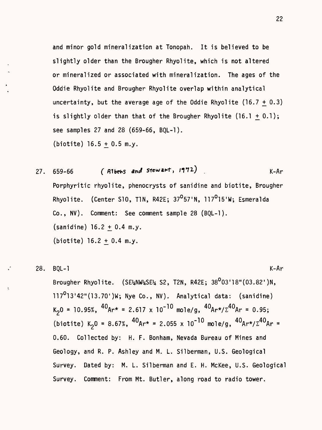and minor gold mineralization at Tonopah. It is believed to be slightly older than the Brougher Rhyolite, which is not altered or mineralized or associated with mineralization. The ages of the Oddie Rhyolite and Brougher Rhyolite overlap within analytical uncertainty, but the average age of the Oddie Rhyolite (16.7 + 0.3) is slightly older than that of the Brougher Rhyolite  $(16.1 + 0.1);$ see samples 27 and 28 (659-66, BQL-1). (biotite)  $16.5 + 0.5$  m.y.

27.  $659-66$  (Albens and Stewart, 1972) . K-Ar Porphyritic rhyolite, phenocrysts of sanidine and biotite, Brougher Rhyolite. (Center S10, T1N, R42E; 37<sup>0</sup>57'N, 117<sup>0</sup>15'W; Esmeralda Co., NV). Comment: See comment sample 28 (BQL-1).  $(sanidine)$  16.2 + 0.4 m.y. (biotite)  $16.2 + 0.4$  m.y.

28. BQL-1 K-Ar

Brougher Rhyolite.  $(SE_4NW_4SE_4 S2, T2N, R42E; 38^003'18''(03.82')N,$ 117<sup>0</sup>13'42"(13.70')W; Nye Co., NV). Analytical data: (sanidine)  $K_2 0 = 10.95\%, \frac{40}{Ar} = 2.617 \times 10^{-10} \text{ mole/g}, \frac{40}{Ar} \times (\Sigma^{40} Ar = 0.95;$ (biotite) K<sub>2</sub>0 = 8.67%,  $^{40}$ Ar\* = 2.055 x 10<sup>-10</sup> mole/g,  $^{40}$ Ar\*/ $\Sigma$ <sup>40</sup>Ar = 0.60. Collected by: H. F. Bonham, Nevada Bureau of Mines and Geology, and R. P. Ashley and M. L. Silberman, U.S. Geological Survey. Dated by: M. L. Silberman and E. H. McKee, U.S. Geological Survey. Comment: From Mt. Butler, along road to radio tower.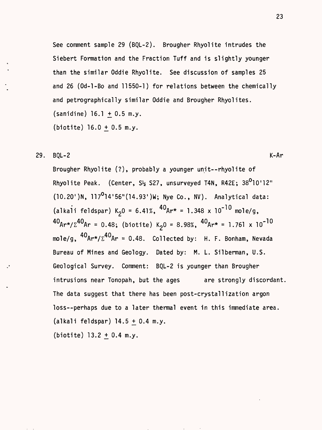See comment sample 29 (BQL-2). Brougher Rhyolite intrudes the Siebert Formation and the Fraction Tuff and is slightly younger than the similar Oddie Rhyolite. See discussion of samples 25 and 26 (Od-l-Bo and 11550-1) for relations between the chemically and petrographically similar Oddie and Brougher Rhyolites.  $(sanidine) 16.1 + 0.5 m.y.$  $(biottle) 16.0 + 0.5 m.y.$ 

29. BQL-2 K-Ar

Brougher Rhyolite (?), probably a younger unit--rhyolite of Rhyolite Peak. (Center,  $S_2$  S27, unsurveyed T4N, R42E;  $38^010'12''$  $(10.20')$ N,  $117^0$ 14'56" $(14.93')$ W; Nye Co., NV). Analytical data: (alkali feldspar) K<sub>2</sub>0 = 6.41%, <sup>40</sup>Ar\* = 1.348 x 10<sup>-10</sup> mole/g,  $40_{Ar^{\star}/\Sigma}40_{Ar}$  = 0.48; (biotite) K<sub>2</sub>0 = 8.98%,  $40_{Ar^{\star}}$  = 1.761 x 10<sup>-10</sup> mole/g,  ${}^{40}$ Ar\*/ $\Sigma^{40}$ Ar = 0.48. Collected by: H. F. Bonham, Nevada Bureau of Mines and Geology. Dated by: M. L. Silberman, U.S. Geological Survey. Comment: BQL-2 is younger than Brougher intrusions near Tonopah, but the ages are strongly discordant. The data suggest that there has been post-crystallization argon loss--perhaps due to a later thermal event in this immediate area.  $(alkali$  feldspar)  $14.5 + 0.4$  m.y. (biotite)  $13.2 + 0.4$  m.y.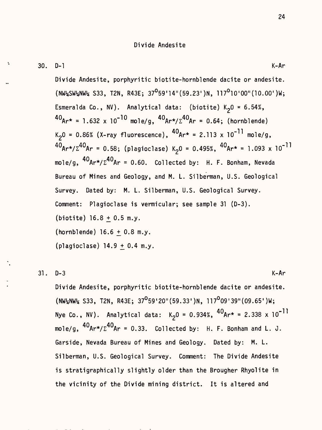Divide Andesite, porphyritic biotite-hornblende dacite or andesite.  $(NW_2SW_2NW_4$  S33, T2N, R43E; 37<sup>0</sup>59'14"(59.23')N, 117<sup>0</sup>10'00"(10.00')W; Esmeralda Co., NV). Analytical data: (biotite)  $K<sub>2</sub>0 = 6.54\%$ ,  $40_{Ar*}$  = 1.632 x 10<sup>-10</sup> mole/g,  $40_{Ar*}/\Sigma^{40}$ Ar = 0.64; (hornblende)  $K_20 = 0.86\%$  (X-ray fluorescence),  ${}^{40}Ar^* = 2.113 \times 10^{-11}$  mole/g,  $^{40}$ Ar\*/ $\Sigma^{40}$ Ar = 0.58; (plagioclase) K<sub>2</sub>0 = 0.495%,  $^{40}$ Ar\* = 1.093 x 10<sup>-11</sup> mole/g,  ${}^{40}$ Ar\*/ $\Sigma^{40}$ Ar = 0.60. Collected by: H. F. Bonham, Nevada Bureau of Mines and Geology, and M. L. Silberman, U.S. Geological Survey. Dated by: M. L. Silberman, U.S. Geological Survey. Comment: Plagioclase is vermicular; see sample 31 (D-3).  $(biottle) 16.8 + 0.5 m.y.$  $(hornblende) 16.6 + 0.8 m.y.$ (plagioclase)  $14.9 + 0.4$  m.y.

#### 31 . D-3 K-Ar

Divide Andesite, porphyritic biotite-hornblende dacite or andesite.

 $\frac{1}{2}$ NW% S33, T2N, R43E; 37<sup>0</sup>59'20"(59.33')N, 117<sup>0</sup>09'39"(09.65')W; Nye Co., NV). Analytical data:  $K_20 = 0.934\%$ ,  ${}^{40}Ar* = 2.338 \times 10^{-11}$ mole/g,  ${}^{40}$ Ar\*/ $\Sigma^{40}$ Ar = 0.33. Collected by: H. F. Bonham and L. J. Garside, Nevada Bureau of Mines and Geology. Dated by: M. L. Silberman, U.S. Geological Survey. Comment: The Divide Andesite is stratigraphically slightly older than the Brougher Rhyolite in the vicinity of the Divide mining district. It is altered and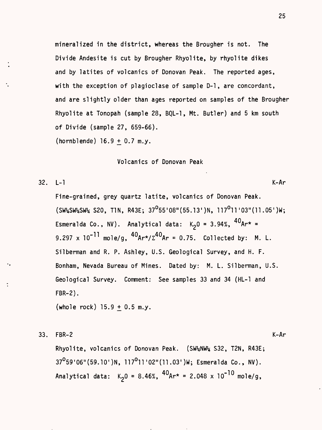mineralized in the district, whereas the Brougher is not. The Divide Andesite is cut by Brougher Rhyolite, by rhyolite dikes and by latites of volcanics of Donovan Peak. The reported ages, with the exception of plagioclase of sample D-1, are concordant, and are slightly older than ages reported on samples of the Brougher Rhyolite at Tonopah (sample 28, BQL-1 , Mt. Butler) and 5 km south of Divide (sample 27, 659-66).

(hornblende) 16.9 + 0.7 m.y.

Volcanics of Donovan Peak

32. L-l K-Ar

Fine-grained, grey quartz latite, volcanics of Donovan Peak.  $(SW_{4}SW_{4}SW_{4}$  S20, T1N, R43E; 37<sup>0</sup>55'08"(55.13')N, 117<sup>0</sup>11'03"(11.05')W; Esmeralda Co., NV). Analytical data:  $K_2 0 = 3.94\%$ ,  ${}^{40}$ Ar\* = 9.297 x  $10^{-11}$  mole/g,  ${}^{40}$ Ar\*/ $\Sigma^{40}$ Ar = 0.75. Collected by: M. L. Silberman and R. P. Ashley, U.S. Geological Survey, and H. F. Bonham, Nevada Bureau of Mines. Dated by: M. L. Silberman, U.S. Geological Survey. Comment: See samples 33 and 34 (HL-1 and FBR-2).

(whole rock)  $15.9 + 0.5$  m.y.

33. FBR-2 K-Ar

Rhyolite, volcanics of Donovan Peak. (SW%NW% S32, T2N, R43E;  $37^{\circ}59'06''(59.10')N$ ,  $117^{\circ}11'02''(11.03')W$ ; Esmeralda Co., NV). Analytical data:  $K_2 0 = 8.46\%$ ,  ${}^{40}Ar^* = 2.048 \times 10^{-10}$  mole/g,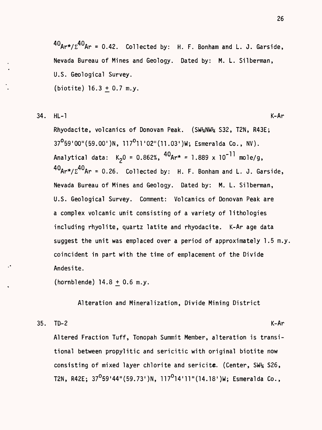$40Ar\cdot\sqrt{\Sigma^{40}}Ar = 0.42$ . Collected by: H. F. Bonham and L. J. Garside, Nevada Bureau of Mines and Geology. Dated by: M. L. Silberman, U.S. Geological Survey, (biotite)  $16.3 + 0.7$  m.y.

34. HL-1 K-Ar

Rhyodacite, volcanics of Donovan Peak. (SW4NW4 S32, T2N, R43E;  $37^{\circ}59'00''(59.00')N$ ,  $117^{\circ}11'02''(11.03')W$ ; Esmeralda Co., NV). Analytical data:  $K_20 = 0.862\%$ ,  ${}^{40}Ar* = 1.889 \times 10^{-11}$  mole/g,  $40Ar\cdot\sqrt{\Sigma^{40}}Ar = 0.26$ . Collected by: H. F. Bonham and L. J. Garside, Nevada Bureau of Mines and Geology. Dated by: M. L. Silberman, U.S. Geological Survey. Comment: Volcanics of Donovan Peak are a complex volcanic unit consisting of a variety of lithologies including rhyolite, quartz latite and rhyodacite. K-Ar age data suggest the unit was emplaced over a period of approximately 1.5 m.y. coincident in part with the time of emplacement of the Divide Andesite.

 $(hornblende)$  14.8 + 0.6 m.y.

Alteration and Mineralization, Divide Mining District

#### 35. TD-2 K-Ar

Altered Fraction Tuff, Tonopah Summit Member, alteration is transitional between propylitic and sericitic with original biotite now consisting of mixed layer chlorite and sericite. (Center,  $SW_4$  S26, T2N, R42E;  $37^059'44''(59.73')N$ ,  $117^014'11''(14.18')W$ ; Esmeralda Co.,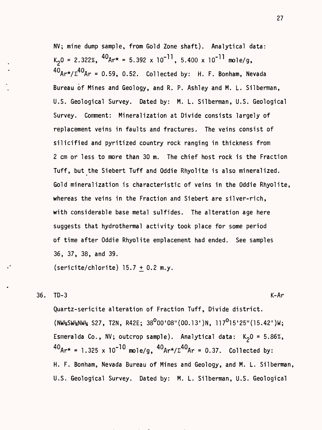NV; mine dump sample, from Gold Zone shaft). Analytical data:  $K_2$ 0 = 2.322%,  ${}^{40}$ Ar\* = 5.392 x 10<sup>-11</sup>, 5.400 x 10<sup>-11</sup> mole/g, **40 40** Ar = 0.59, 0.52. Collected by: H. F. Bonham, Nevada Bureau of Mines and Geology, and R. P. Ashley and M. L. Silberman, U.S. Geological Survey. Dated by: M. L. Silberman, U.S. Geological Survey. Comment: Mineralization at Divide consists largely of replacement veins in faults and fractures. The veins consist of silicified and pyritized country rock ranging in thickness from 2 cm or less to more than 30 m. The chief host rock is the Fraction Tuff, but the Siebert Tuff and Oddie Rhyolite is also mineralized. Gold mineralization is characteristic of veins in the Oddie Rhyolite, whereas the veins in the Fraction and Siebert are silver-rich, with considerable base metal sulfides. The alteration age here suggests that hydrothermal activity took place for some period of time after Oddie Rhyolite emplacement had ended. See samples 36, 37, 38, and 39.

(sericite/chlorite) 15.7  $\pm$  0.2 m.y.

$$
36. \t\t\t TD-3 \t\t\t K-Ar
$$

Quartz-sericite alteration of Fraction Tuff, Divide district.  $(NW45W4NW4$  S27, T2N, R42E; 38<sup>0</sup>00'08"(00.13')N, 117<sup>0</sup>15'25"(15.42')W; Esmeralda Co., NV; outcrop sample). Analytical data:  $K_2 0 = 5.86\%$ ,  ${}^{40}$ Ar\* = 1.325 x 10<sup>-10</sup> mole/g,  ${}^{40}$ Ar\*/ $\Sigma^{40}$ Ar = 0.37. Collected by: H. F. Bonham, Nevada Bureau of Mines and Geology, and M. L. Silberman, U.S. Geological Survey. Dated by: M. L. Silberman, U.S. Geological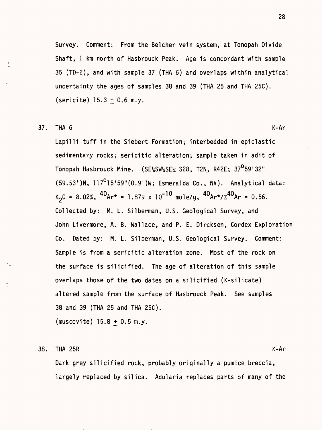Survey. Comment: From the Belcher vein system, at Tonopah Divide Shaft, 1 km north of Hasbrouck Peak. Age is concordant with sample 35 (TD-2), and with sample 37 (THA 6) and overlaps within analytical uncertainty the ages of samples 38 and 39 (THA 25 and THA 25C).  $(s$ ericite)  $15.3 + 0.6$  m.y.

#### $37.$  THA 6 K-Ar

Lapilli tuff in the Siebert Formation; interbedded in epiclastic sedimentary rocks; sericitic alteration; sample taken in adit of Tonopah Hasbrouck Mine. (SESfcSVfcSE\* S28, T2N, R42E; 370 59'32"  $(59.53')$ N, 117<sup>0</sup>15'59" $(0.9')$ W; Esmeralda Co., NV). Analytical data:  $K_2$ 0 = 8.02%,  $^{40}$ Ar\* = 1.879 x 10<sup>-10</sup> mole/g,  $^{40}$ Ar\*/ $\Sigma^{40}$ Ar = 0.56. Collected by: M. L. Silberman, U.S. Geological Survey, and John Livermore, A. B. Wallace, and P. E. Dircksen, Cordex Exploration Co. Dated by: M. L. Silberman, U.S. Geological Survey. Comment: Sample is from a sericitic alteration zone. Most of the rock on the surface is silicified. The age of alteration of this sample overlaps those of the two dates on a silicified (K-silicate) altered sample from the surface of Hasbrouck Peak. See samples 38 and 39 (THA 25 and THA 25C).

 $(muscovite)$  15.8 + 0.5 m.y.

#### 38. THA 25R K-Ar

 $\ddot{\phantom{0}}$ 

Dark grey silicified rock, probably originally a pumice breccia, largely replaced by silica. Adularia replaces parts of many of the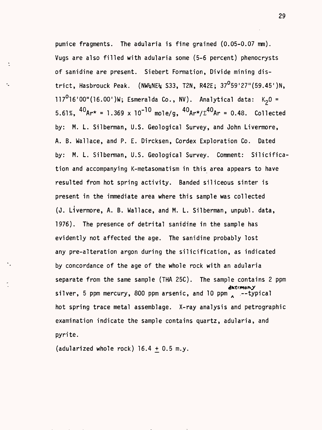pumice fragments. The adularia is fine grained (0.05-0.07 mm). Vugs are also filled with adularia some (5-6 percent) phenocrysts of sanidine are present. Siebert Formation, Divide mining district, Hasbrouck Peak. (NW\\s\\Re\\text{S33, T2N, R42E; 37<sup>0</sup>59'27"(59.45')N, 117<sup>0</sup>16'00"(16.00')W; Esmeralda Co., NV). Analytical data:  $K_2 0 =$ 5.61%,  ${}^{40}Ar^*$  = 1.369 x 10<sup>-10</sup> mole/g,  ${}^{40}Ar^*/\Sigma^{40}Ar$  = 0.48. Collected by: M. L. Silberman, U.S. Geological Survey, and John Livermore, A. B. Wallace, and P. E. Dircksen, Cordex Exploration Co. Dated by: M. L. Silberman, U.S. Geological Survey. Comment: Silicification and accompanying K-metasomatism in this area appears to have resulted from hot spring activity. Banded siliceous sinter is present in the immediate area where this sample was collected (J. Livermore, A. B. Wallace, and M. L. Silberman, unpubl. data, 1976). The presence of detrital sanidine in the sample has evidently not affected the age. The sanidine probably lost any pre-alteration argon during the silicification, as indicated by concordance of the age of the whole rock with an adularia separate from the same sample (THA 25C). The sample contains 2 ppm **ihtfwofvy** silver, 5 ppm mercury, 800 ppm arsenic, and 10 ppm  $\Box$  --typical hot spring trace metal assemblage. X-ray analysis and petrographic examination indicate the sample contains quartz, adularia, and pyrite.

(adularized whole rock)  $16.4 + 0.5$  m.y.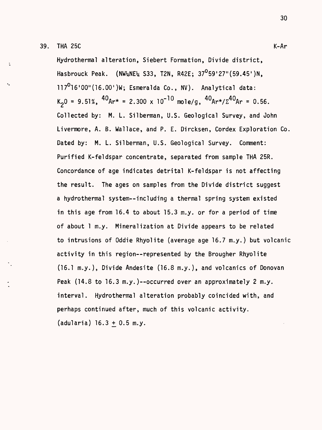39. THA 25C K-Ar

Hydrothermal alteration, Siebert Formation, Divide district, Hasbrouck Peak. (NW\RE\ S33, T2N, R42E; 37<sup>0</sup>59'27"(59.45')N,  $117^{\circ}16'00''(16.00')$ W; Esmeralda Co., NV). Analytical data:  $K_2$ 0 = 9.51%,  ${}^{40}Ar*$  = 2.300 x 10<sup>-10</sup> mole/g,  ${}^{40}Ar*/\Sigma^{40}Ar$  = 0.56. Collected by: M. L. Silberman, U.S. Geological Survey, and John Livermore, A. B. Wallace, and P. E. Dircksen, Cordex Exploration Co. Dated by: M. L. Silberman, U.S. Geological Survey. Comment: Purified K-feldspar concentrate, separated from sample THA 25R. Concordance of age indicates detrital K-feldspar is not affecting the result. The ages on samples from the Divide district suggest a hydrothermal system--including a thermal spring system existed in this age from 16.4 to about 15.3 m.y. or for a period of time of about 1 m.y. Mineralization at Divide appears to be related to intrusions of Oddie Rhyolite (average age 16.7 m.y.) but volcanic activity in this region--represented by the Brougher Rhyolite (16.1 m.y.), Divide Andesite (16.8 m.y.), and volcanics of Donovan Peak (14.8 to 16.3 m.y.)--occurred over an approximately 2 m.y. interval. Hydrothermal alteration probably coincided with, and perhaps continued after, much of this volcanic activity,  $(adularia) 16.3 + 0.5 m.y.$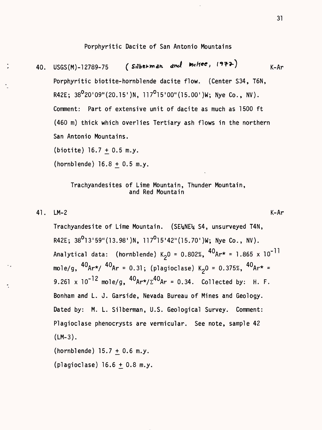### Porphyritic Dacite of San Antonio Mountains

(Silberman and moltee, 1972) 40. USGS(M)-1 2789-75  $K-Ar$ Porphyritic biotite-hornblende dacite flow. (Center S34, T6N, R42E;  $38^{\circ}$ 20'09" (20.15')N, 117<sup>0</sup>15'00" (15.00')W; Nye Co., NV). Comment: Part of extensive unit of dacite as much as 1500 ft (460 m) thick which overlies Tertiary ash flows in the northern San Antonio Mountains.

 $(biottle) 16.7 + 0.5 m.y.$ 

 $(hornblende) 16.8 + 0.5 m.y.$ 

#### Trachyandesites of Lime Mountain, Thunder Mountain, and Red Mountain

41. LM-2 K-Ar

Trachyandesite of Lime Mountain. (SE%NE% S4, unsurveyed T4N, R42E;  $38^013'59''(13.98')N$ ,  $117^015'42''(15.70')W$ ; Nye Co., NV). Analytical data: (hornblende) K<sub>2</sub>0 = 0.802%, <sup>40</sup>Ar\* = 1.865 x 10<sup>-11</sup> mole/g,  ${}^{40}$ Ar\*/  ${}^{40}$ Ar = 0.31; (plagioclase) K<sub>2</sub>0 = 0.375%,  ${}^{40}$ Ar\* = 9.261 x  $10^{-12}$  mole/g,  ${}^{40}$ Ar\*/ $\Sigma^{40}$ Ar = 0.34. Collected by: H. F. Bonham and L. J. Garside, Nevada Bureau of Mines and Geology. Dated by: M. L. Silberman, U.S. Geological Survey. Comment: Plagioclase phenocrysts are vermicular. See note, sample 42 (LM-3).  $(hornblende)$  15.7 + 0.6 m.y.

(plagioclase)  $16.6 + 0.8$  m.y.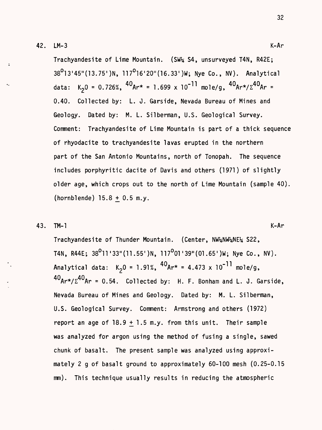42. LM-3 K-Ar

Trachyandesite of Lime Mountain. (SW% S4, unsurveyed T4N, R42E;  $38^{\circ}$ 13'45"(13.75')N, 117<sup>0</sup>16'20"(16.33')W; Nye Co., NV). Analytical data: K<sub>2</sub>0 = 0.726%,  $^{40}$ Ar\* = 1.699 x 10<sup>-11</sup> mole/g,  $^{40}$ Ar\*/ $\Sigma$ <sup>40</sup>Ar = 0.40. Collected by: L. J. Garside, Nevada Bureau of Mines and Geology. Dated by: M. L. Silberman, U.S. Geological Survey. Comment: Trachyandesite of Lime Mountain is part of a thick sequence of rhyodacite to trachyandesite lavas erupted in the northern part of the San Antonio Mountains, north of Tonopah. The sequence includes porphyritic dacite of Davis and others (1971) of slightly older age, which crops out to the north of Lime Mountain (sample 40).  $(hornblende)$  15.8 + 0.5 m.y.

#### 43. TM-1 K-Ar

Trachyandesite of Thunder Mountain. (Center, NW%NW%NE% S22, T4N, R44E;  $38^{\circ}$ 11'33"(11.55')N, 117<sup>o</sup>01'39"(01.65')W; Nye Co., NV). Analytical data:  $K_2 0 = 1.91\%$ ,  ${}^{40}$ Ar\* = 4.473 x 10<sup>-11</sup> mole/g,  $40$ Ar\*/ $\Sigma^{40}$ Ar = 0.54. Collected by: H. F. Bonham and L. J. Garside, Nevada Bureau of Mines and Geology. Dated by: M. L. Silberman, U.S. Geological Survey. Comment: Armstrong and others (1972) report an age of  $18.9 + 1.5$  m.y. from this unit. Their sample was analyzed for argon using the method of fusing a single, sawed chunk of basalt. The present sample was analyzed using approximately 2 g of basalt ground to approximately 60-100 mesh (0.25-0.15 mm). This technique usually results in reducing the atmospheric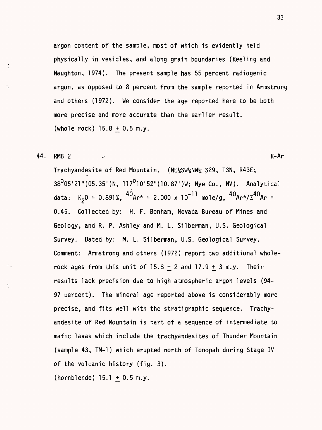argon content of the sample, most of which is evidently held physically in vesicles, and along grain boundaries (Keeling and Naughton, 1974). The present sample has 55 percent radiogenic argon, as opposed to 8 percent from the sample reported in Armstrong and others (1972). We consider the age reported here to be both more precise and more accurate than the earlier result. (whole rock)  $15.8 + 0.5$  m.y.

44. RMB 2  $\sim$  K-Ar

Trachyandesite of Red Mountain. (NE%SW%NW% S29, T3N, R43E;  $38^0$ 05'21" (05.35')N, 117<sup>0</sup>10'52" (10.87')W; Nye Co., NV). Analytical data: K<sub>2</sub>0 = 0.891%,  $40^{6}$ Ar\* = 2.000 x 10<sup>-11</sup> mole/g,  $40^{6}$ Ar\*/ $\Sigma$ <sup>40</sup>Ar = 0.45. Collected by: H. F. Bonham, Nevada Bureau of Mines and Geology, and R. P. Ashley and M. L. Silberman, U.S. Geological Survey. Dated by: M. L. Silberman, U.S. Geological Survey. Comment: Armstrong and others (1972) report two additional wholerock ages from this unit of  $15.8 + 2$  and  $17.9 + 3$  m.y. Their results lack precision due to high atmospheric argon levels (94- 97 percent). The mineral age reported above is considerably more precise, and fits well with the stratigraphic sequence. Trachyandesite of Red Mountain is part of a sequence of intermediate to mafic lavas which include the trachyandesites of Thunder Mountain (sample 43, TM-1 ) which erupted north of Tonopah during Stage IV of the volcanic history (fig. 3).

 $(hornblende) 15.1 + 0.5 m.y.$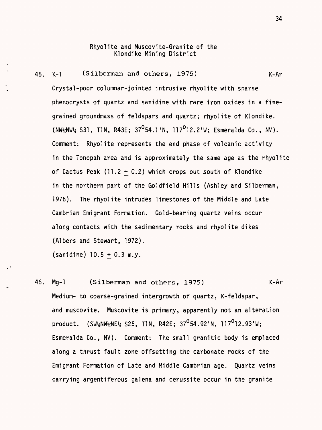#### Rhyolite and Muscovite-Granite of the Klondike Mining District

45. K-l (Silberman and others, 1975) K-Ar Crystal-poor columnar-jointed intrusive rhyolite with sparse phenocrysts of quartz and sanidine with rare iron oxides in a finegrained groundmass of feldspars and quartz; rhyolite of Klondike.  $(NW_4\text{NW}_4\text{ S31},\text{T1N},\text{R43E}; 37^{\circ}54.1\text{'}N, 117^{\circ}12.2\text{'}W; \text{Esmeralda Co., NV}).$ Comment: Rhyolite represents the end phase of volcanic activity in the Tonopah area and is approximately the same age as the rhyolite of Cactus Peak  $(11.2 + 0.2)$  which crops out south of Klondike in the northern part of the Goldfield Hills (Ashley and Silberman, 1976). The rhyolite intrudes limestones of the Middle and Late Cambrian Emigrant Formation. Gold-bearing quartz veins occur along contacts with the sedimentary rocks and rhyolite dikes (Albers and Stewart, 1972).

 $(sanidine)$  10.5 + 0.3 m.y.

46. Mg-1 (Silberman and others, 1975) K-Ar Medium- to coarse-grained intergrowth of quartz, K-feldspar, and muscovite. Muscovite is primary, apparently not an alteration product. (SW%NW%NE% S25, TIN, R42E; 37°54.92'N, 117°12.93'W; Esmeralda Co., NV). Comment: The small granitic body is emplaced along a thrust fault zone offsetting the carbonate rocks of the Emigrant Formation of Late and Middle Cambrian age. Quartz veins carrying argentiferous galena and cerussite occur in the granite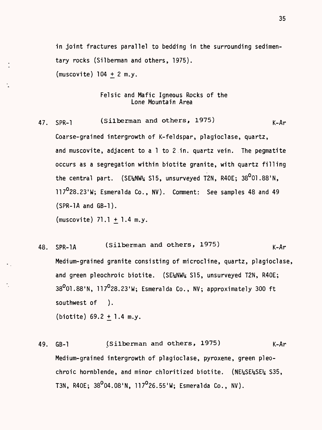in joint fractures parallel to bedding in the surrounding sedimentary rocks (Silberman and others, 1975). (muscovite)  $104 + 2 m.y$ .

#### Felsic and Mafic Igneous Rocks of the Lone Mountain Area

- 47. SPR-1 (Silberman and others, 1975)  $K-Ar$ Coarse-grained intergrowth of K-feldspar, plagioclase, quartz, and muscovite, adjacent to a 1 to 2 in. quartz vein. The pegmatite occurs as a segregation within biotite granite, with quartz filling the central part. (SE\NW\ S15, unsurveyed T2N, R40E;  $38^0$ 01.88'N, 117°28.23'W; Esmeralda Co., NV). Comment: See samples 48 and 49 (SPR-1A and GB-1).  $(muscovite)$  71.1 + 1.4 m.y.
- 48. SPR-1A (Silberman and others, 1975) ^r Medium-grained granite consisting of microcline, quartz, plagioclase, and green pleochroic biotite. (SE\NW\{2 S15, unsurveyed T2N, R40E; 38<sup>0</sup>01.88'N, 117<sup>0</sup>28.23'W; Esmeralda Co., NV; approximately 300 ft southwest of ). (biotite)  $69.2 + 1.4$  m.y.
- 49. GB-1 (Silberman and others, 1975) K-Ar Medium-grained intergrowth of plagioclase, pyroxene, green pleochroic hornblende, and minor chloritized biotite. (NE%SE%SE% S35, T3N, R40E;  $38^0$ 04.08'N, 117<sup>0</sup>26.55'W; Esmeralda Co., NV).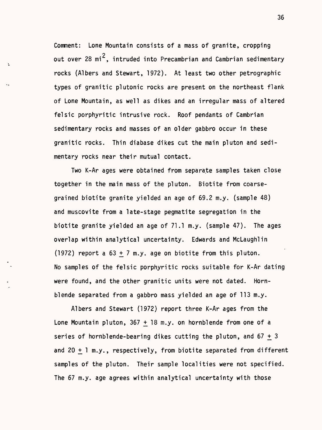Comment: Lone Mountain consists of a mass of granite, cropping out over 28  $mi^2$ , intruded into Precambrian and Cambrian sedimentary rocks (Albers and Stewart, 1972). At least two other petrographic types of granitic plutonic rocks are present on the northeast flank of Lone Mountain, as well as dikes and an irregular mass of altered felsic porphyritic intrusive rock. Roof pendants of Cambrian sedimentary rocks and masses of an older gabbro occur in these granitic rocks. Thin diabase dikes cut the main pluton and sedimentary rocks near their mutual contact.

 $\ddot{\phantom{a}}$ 

Two K-Ar ages were obtained from separate samples taken close together in the main mass of the pluton. Biotite from coarsegrained biotite granite yielded an age of 69.2 m.y. (sample 48) and muscovite from a late-stage pegmatite segregation in the biotite granite yielded an age of 71.1 m.y. (sample 47). The ages overlap within analytical uncertainty. Edwards and McLaughlin (1972) report a  $63 + 7$  m.y. age on biotite from this pluton. No samples of the felsic porphyritic rocks suitable for K-Ar dating were found, and the other granitic units were not dated. Hornblende separated from a gabbro mass yielded an age of 113 m.y.

Albers and Stewart (1972) report three K-Ar ages from the Lone Mountain pluton,  $367 + 18$  m.y. on hornblende from one of a series of hornblende-bearing dikes cutting the pluton, and  $67 + 3$ and  $20 + 1$  m.y., respectively, from biotite separated from different samples of the pluton. Their sample localities were not specified. The 67 m.y. age agrees within analytical uncertainty with those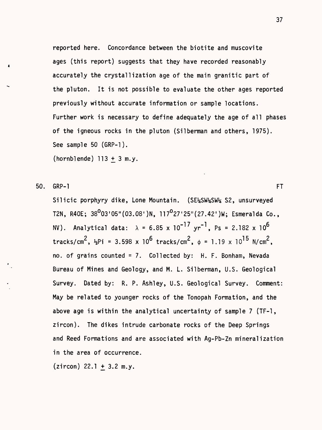reported here. Concordance between the biotite and muscovite ages (this report) suggests that they have recorded reasonably accurately the crystallization age of the main granitic part of the pluton. It is not possible to evaluate the other ages reported previously without accurate information or sample locations. Further work is necessary to define adequately the age of all phases of the igneous rocks in the pluton (Silberman and others, 1975). See sample 50 (GRP-1).

(hornblende)  $113 + 3$  m.y.

50. GRP-1 FT

Silicic porphyry dike, Lone Mountain. (SE%SW%SW% S2, unsurveyed T2N, R40E; 38<sup>0</sup>03'05"(03.08')N, 117<sup>0</sup>27'25"(27.42')W; Esmeralda Co., NV). Analytical data:  $\lambda = 6.85 \times 10^{-17} \text{ yr}^{-1}$ , Ps = 2.182 x 10<sup>6</sup> tracks/cm<sup>2</sup>,  $\frac{1}{2}$ Pi = 3.598 x 10<sup>6</sup> tracks/cm<sup>2</sup>,  $\phi$  = 1.19 x 10<sup>15</sup> N/cm<sup>2</sup>, no. of grains counted = 7. Collected by: H. F. Bonham, Nevada Bureau of Mines and Geology, and M. L. Silberman, U.S. Geological Survey. Dated by: R. P. Ashley, U.S. Geological Survey. Comment: May be related to younger rocks of the Tonopah Formation, and the above age is within the analytical uncertainty of sample 7 (TF-1 , zircon). The dikes intrude carbonate rocks of the Deep Springs and Reed Formations and are associated with Ag-Pb-Zn mineralization in the area of occurrence.

 $(zircon)$  22.1 + 3.2 m.y.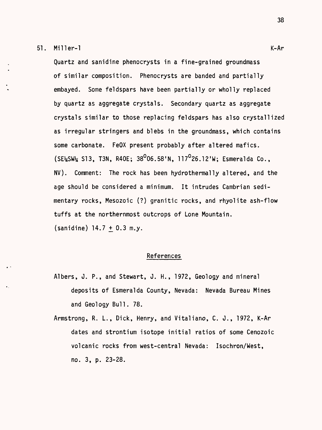#### 51. Miller-1 K-Ar

Quartz and sanidine phenocrysts in a fine-grained groundmass of similar composition. Phenocrysts are banded and partially embayed. Some feldspars have been partially or wholly replaced by quartz as aggregate crystals. Secondary quartz as aggregate crystals similar to those replacing feldspars has also crystallized as irregular stringers and blebs in the groundmass, which contains some carbonate. FeOX present probably after altered mafics.  $(SE_{2}SW_{2} S13, T3N, R40E; 38^{0}06.58'N, 117^{0}26.12'W; Esmeralda Co.,$ NV). Comment: The rock has been hydrothermally altered, and the age should be considered a minimum. It intrudes Cambrian sedimentary rocks, Mesozoic (?) granitic rocks, and rhyolite ash-flow tuffs at the northernmost outcrops of Lone Mountain.  $(sanidine)$  14.7 + 0.3 m.y.

#### References

- Albers, J. P., and Stewart, J. H., 1972, Geology and mineral deposits of Esmeralda County, Nevada: Nevada Bureau Mines and Geology Bull. 78.
- Armstrong, R. L., Dick, Henry, and Vitaliano, C. J., 1972, K-Ar dates and strontium isotope initial ratios of some Cenozoic volcanic rocks from west-central Nevada: Isochron/West, no. 3, p. 23-28.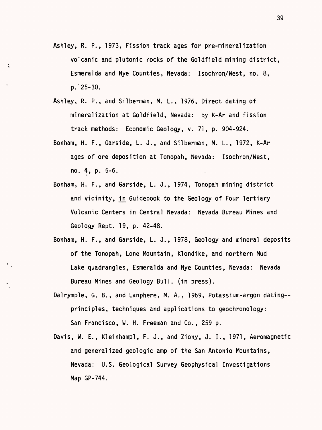- Ashley, R. P., 1973, Fission track ages for pre-mineralization volcanic and plutonic rocks of the Goldfield mining district, Esmeralda and Nye Counties, Nevada: Isochron/West, no. 8, p.'25-30.
- Ashley, R. P., and Silberman, M. L., 1976, Direct dating of mineralization at Goldfield, Nevada: by K-Ar and fission track methods: Economic Geology, v. 71, p. 904-924.
- Bonham, H. F., Garside, L. J., and Silberman, M. L., 1972, K-Ar ages of ore deposition at Tonopah, Nevada: Isochron/West, no. 4, p. 5-6.
- Bonham, H. F., and Garside, L. J., 1974, Tonopah mining district and vicinity, in Guidebook to the Geology of Four Tertiary Volcanic Centers in Central Nevada: Nevada Bureau Mines and Geology Rept. 19, p. 42-48.
- Bonham, H. F., and Garside, L. J., 1978, Geology and mineral deposits of the Tonopah, Lone Mountain, Klondike, and northern Mud Lake quadrangles, Esmeralda and Nye Counties, Nevada: Nevada Bureau Mines and Geology Bull, (in press).
- Dalrymple, G. B., and Lanphere, M. A., 1969, Potassium-argon dating- principles, techniques and applications to geochronology: San Francisco, W. H. Freeman and Co., 259 p.
- Davis, W. E., Kleinhampl, F. J., and Ziony, J. I., 1971, Aeromagnetic and generalized geologic amp of the San Antonio Mountains, Nevada: U.S. Geological Survey Geophysical Investigations Map GP-744.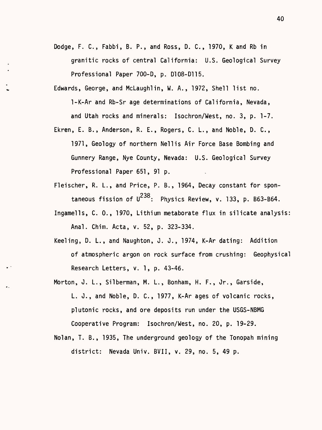- Dodge, F. C., Fabbi, B. P., and Ross, D. C., 1970, K and Rb in granitic rocks of central California: U.S. Geological Survey Professional Paper 700-D, p. D108-D115.
- Edwards, George, and McLaughlin, W. A., 1972, Shell list no. 1-K-Ar and Rb-Sr age determinations of California, Nevada, and Utah rocks and minerals: Isochron/West, no. 3, p. 1-7.
- Ekren, E. B., Anderson, R. E., Rogers, C. L., and Noble, D. C., 1971, Geology of northern Nellis Air Force Base Bombing and Gunnery Range, Nye County, Nevada: U.S. Geological Survey Professional Paper 651, 91 p.
- Fleischer, R. L., and Price, P. B., 1964, Decay constant for spontaneous fission of  $U^{238}$ : Physics Review, v. 133, p. B63-B64.
- Ingamells, C. 0., 1970, Lithium metaborate flux in silicate analysis: Anal. Chim. Acta, v. 52, p. 323-334.
- Keeling, D. L., and Naughton, J. J., 1974, K-Ar dating: Addition of atmospheric argon on rock surface from crushing: Geophysical Research Letters, v. 1, p. 43-46.
- Morton, J. L., Silberman, M. L., Bonham, H. F., Jr., Garside, L. J., and Noble, D. C., 1977, K-Ar ages of volcanic rocks, Plutonic rocks, and ore deposits run under the USGS-NBMG Cooperative Program: Isochron/West, no. 20, p. 19-29.
- Nolan, T. B., 1935, The underground geology of the Tonopah mining district: Nevada Univ. BVII, v. 29, no. 5, 49 p.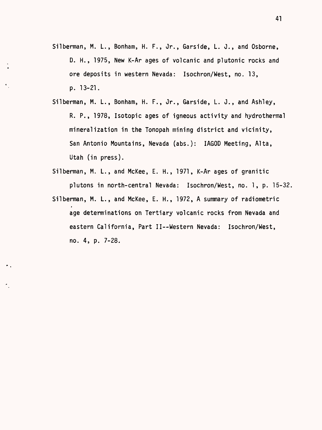- Silberman, M. L., Bonham, H. F., Jr., Garside, L. J., and Osborne, D. H., 1975, New K-Ar ages of volcanic and plutonic rocks and ore deposits in western Nevada: Isochron/West, no. 13, p. 13-21.
- Silberman, M. L., Bonham, H. F., Jr., Garside, L. J., and Ashley, R. P., 1978, Isotopic ages of igneous activity and hydrothermal mineralization in the Tonopah mining district and vicinity, San Antonio Mountains, Nevada (abs.): IAGOD Meeting, Alta, Utah (in press).
- Silberman, M. L., and McKee, E. H., 1971, K-Ar ages of granitic plutons in north-central Nevada: Isochron/West, no. 1, p. 15-32,
- Silberman, M. L., and McKee, E. H., 1972, A summary of radiometric age determinations on Tertiary volcanic rocks from Nevada and eastern California, Part II--Western Nevada: Isochron/West, no. 4, p. 7-28.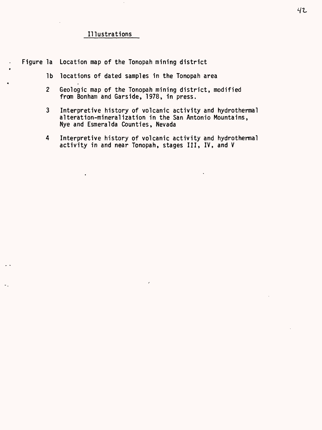## Illustrations

Figure la Location map of the Tonopah mining district

- Ib locations of dated samples in the Tonopah area
- 2 Geologic map of the Tonopah mining district, modified from Bonham and Garside, 1978, in press.
- 3 Interpretive history of volcanic activity and hydrothermal alteration-mineralization in the San Antonio Mountains, Nye and Esmeralda Counties, Nevada
- 4 Interpretive history of volcanic activity and hydrothermal activity in and near Tonopah, stages III, IV, and V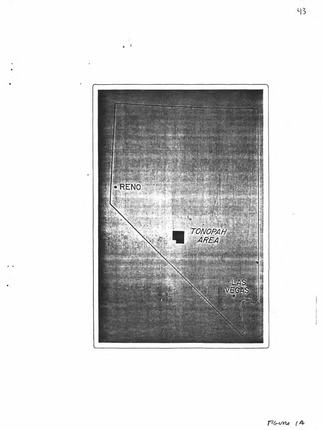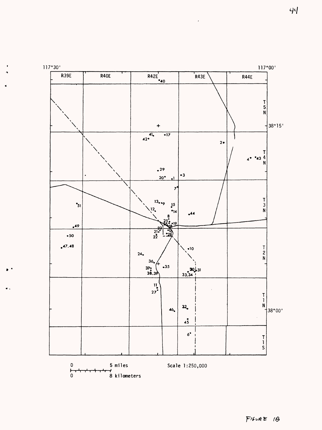

 $\epsilon$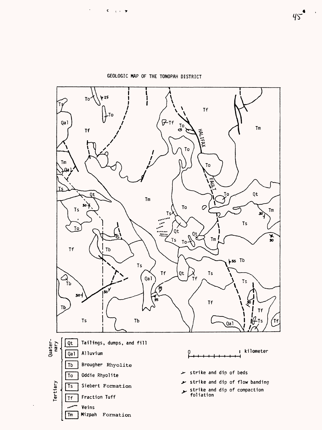

GEOLOGIC MAP OF THE TONOPAH DISTRICT

 $\epsilon$ 

 $\mathbf{C} = \frac{1}{2} \left( \mathbf{r} - \mathbf{y} \right)$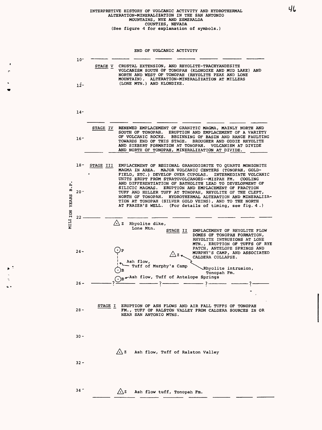# INTERPRETIVE HISTORY OF VOLCANIC ACTIVITY AND HYDROTHERMAL<br>ALTERATION-MINERALIZATION IN THE SAN ANTONIO<br>MOUNTAINS, NYE AND ESMERALDA<br>COUNTIES, NEVADA<br>(See figure 4 for explanation of symbols.)

END OF VOLCANIC ACTIVITY

 $\cdot$  $\mathbf{r}$ 

 $\blacktriangleright$  :  $\frac{1}{2}$  $\epsilon$  .

|                           | 10-             |                                                                                                                                                                                                                                                                                                                                                                         |
|---------------------------|-----------------|-------------------------------------------------------------------------------------------------------------------------------------------------------------------------------------------------------------------------------------------------------------------------------------------------------------------------------------------------------------------------|
| ېم<br>m<br>MILI ION YEARS | $12 -$          | CRUSTAL EXTENSION, AND RHYOLITE-TRACHYANDESITE<br>STAGE V<br>VOLCANISM SOUTH OF TONOPAH (KLONDIKE AND MUD LAKE) AND<br>NORTH AND WEST OF TONOPAH (RHYOLITE PEAK AND LONE<br>MOUNTAIN). ALTERATION-MINERALIZATION AT MILLERS<br>(LONE MTN.) AND KLONDIKE.                                                                                                                |
|                           | 14-             |                                                                                                                                                                                                                                                                                                                                                                         |
|                           | 16-             | RENEWED EMPLACEMENT OF GRANITIC MAGMA, MAINLY NORTH AND<br>STAGE IV<br>SOUTH OF TONOPAH. ERUPTION AND EMPLACEMENT OF A VARIETY<br>OF VOLCANIC ROCKS.<br>BEGINNING OF BASIN AND RANGE FAULTING<br>TOWARDS END OF THIS STAGE. BROUGHER AND ODDIE RHYOLITE<br>AND SIEBERT FORMATION AT TONOPAH. VOLCANISM AT DIVIDE<br>AND NORTH OF TONOPAH, MINERALIZATION AT DIVIDE.     |
|                           | 18-             | EMPLACEMENT OF REGIONAL GRANODIORITE TO QUARTZ MONZONITE<br>STAGE III<br>MAGMA IN AREA. MAJOR VOLCANIC CENTERS (TONOPAH, GOLD-<br>FIELD, ETC.) DEVELOP OVER CUPOLAS. INTERMEDIATE VOLCANIC<br>UNITS ERUPT FROM STRATOVOLCANOES--MIZPAH FM.<br>COOLING                                                                                                                   |
|                           | $20 -$          | AND DIFFERENTIATION OF BATHOLITH LEAD TO DEVELOPMENT OF<br>SILICIC MAGMAS. ERUPTION AND EMPLACEMENT OF FRACTION<br>TUFF AND HELLER TUFF AT TONOPAH, RHYOLITE OF THE CLEFT,<br>NORTH OF TONOPAH. HYDROTHERMAL ALTERATION AND MINERALIZA-<br>TION AT TONOPAH (SILVER GOLD VEINS), AND TO THE NORTH<br>AT FRAZER'S WELL. (For details of timing, see fig. 4.)              |
|                           | 22 <sub>1</sub> | $\triangle$ z Rhyolite dike,                                                                                                                                                                                                                                                                                                                                            |
|                           | $24 -$          | Lone Mtn.<br>STAGE II<br>EMPLACEMENT OF RHYOLITE FLOW<br>DOMES OF TONOPAH FORMATION,<br>RHYOLITE INTRUSIONS AT LONE<br>MTN., ERUPTION OF TUFFS OF RYE<br>PATCH, ANTELOPE SPRINGS AND<br>MURPHY'S CAMP, AND ASSOCIATED<br>$\triangle$ z $\sim$ MURPHY'S CAMP, AN CALDERA COLLAPSE.<br>Ash flow,<br>Tuff of Murphy's Camp<br>Rhyolite intrusion,<br>Tonopah Fm.           |
|                           | $26 -$          | $\bigcap_{B}$ ash flow, Tuff of Antelope Springs<br>$\frac{1}{2}$ $\frac{1}{2}$ $\frac{1}{2}$ $\frac{1}{2}$ $\frac{1}{2}$ $\frac{1}{2}$ $\frac{1}{2}$ $\frac{1}{2}$ $\frac{1}{2}$ $\frac{1}{2}$ $\frac{1}{2}$ $\frac{1}{2}$ $\frac{1}{2}$ $\frac{1}{2}$ $\frac{1}{2}$ $\frac{1}{2}$ $\frac{1}{2}$ $\frac{1}{2}$ $\frac{1}{2}$ $\frac{1}{2}$ $\frac{1}{2}$ $\frac{1}{2}$ |
|                           |                 |                                                                                                                                                                                                                                                                                                                                                                         |
|                           | $28 -$          | STAGE I<br>ERUPTION OF ASH FLOWS AND AIR FALL TUFFS OF TONOPAH<br>FM., TUFF OF RALSTON VALLEY FROM CALDERA SOURCES IN OR<br><b>NEAR SAN ANTONIO MTNS.</b>                                                                                                                                                                                                               |
|                           | $30 -$          |                                                                                                                                                                                                                                                                                                                                                                         |
|                           | $32 -$          | $\bigwedge$ z<br>Ash flow, Tuff of Ralston Valley                                                                                                                                                                                                                                                                                                                       |
|                           | $34 -$          | $\triangle$ z<br>Ash flow tuff, Tonopah Fm.                                                                                                                                                                                                                                                                                                                             |